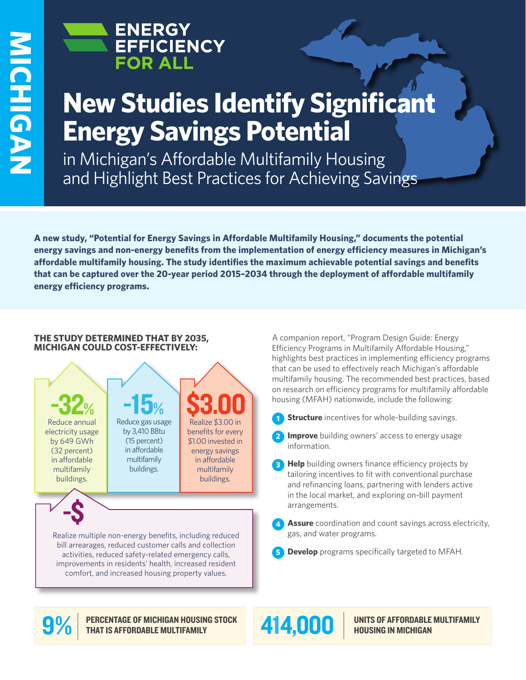

# **New Studies Identify Significant Energy Savings Potential**

in Michigan's Affordable Multifamily Housing and Highlight Best Practices for Achieving Savings

**A new study, "Potential for Energy Savings in Affordable Multifamily Housing," documents the potential energy savings and non-energy benefits from the implementation of energy efficiency measures in Michigan's affordable multifamily housing. The study identifies the maximum achievable potential savings and benefits that can be captured over the 20-year period 2015–2034 through the deployment of affordable multifamily energy efficiency programs.**

## **THE STUDY DETERMINED THAT BY 2035, MICHIGAN COULD COST-EFFECTIVELY:**



A companion report, "Program Design Guide: Energy Efficiency Programs in Multifamily Affordable Housing," highlights best practices in implementing efficiency programs that can be used to effectively reach Michigan's affordable multifamily housing. The recommended best practices, based on research on efficiency programs for multifamily affordable housing (MFAH) nationwide, include the following:

- **Structure** incentives for whole-building savings.
- **2 Improve** building owners' access to energy usage information.
- **3 Help** building owners finance efficiency projects by tailoring incentives to fit with conventional purchase and refinancing loans, partnering with lenders active in the local market, and exploring on-bill payment arrangements.
- **4 Assure** coordination and count savings across electricity, gas, and water programs.
- **5 Develop** programs specifically targeted to MFAH.



PERCENTAGE OF MICHIGAN HOUSING STOCK 414,000



UNITS OF AFFORDABLE MULTIFAMILY HOUSING IN MICHIGAN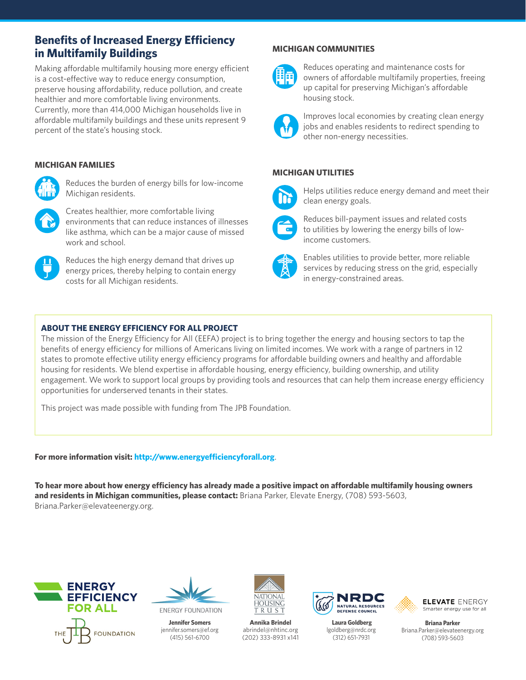# **Benefits of Increased Energy Efficiency in Multifamily Buildings**

Making affordable multifamily housing more energy efficient is a cost-effective way to reduce energy consumption, preserve housing affordability, reduce pollution, and create healthier and more comfortable living environments. Currently, more than 414,000 Michigan households live in affordable multifamily buildings and these units represent 9 percent of the state's housing stock.

# **MICHIGAN FAMILIES**



Reduces the burden of energy bills for low-income Michigan residents.



Creates healthier, more comfortable living environments that can reduce instances of illnesses like asthma, which can be a major cause of missed work and school.



Reduces the high energy demand that drives up energy prices, thereby helping to contain energy costs for all Michigan residents.

# **MICHIGAN COMMUNITIES**



Reduces operating and maintenance costs for owners of affordable multifamily properties, freeing up capital for preserving Michigan's affordable housing stock.



Improves local economies by creating clean energy jobs and enables residents to redirect spending to other non-energy necessities.

## **MICHIGAN UTILITIES**



Helps utilities reduce energy demand and meet their clean energy goals.



Reduces bill-payment issues and related costs to utilities by lowering the energy bills of lowincome customers.



Enables utilities to provide better, more reliable services by reducing stress on the grid, especially in energy-constrained areas.

## **ABOUT THE ENERGY EFFICIENCY FOR ALL PROJECT**

The mission of the Energy Efficiency for All (EEFA) project is to bring together the energy and housing sectors to tap the benefits of energy efficiency for millions of Americans living on limited incomes. We work with a range of partners in 12 states to promote effective utility energy efficiency programs for affordable building owners and healthy and affordable housing for residents. We blend expertise in affordable housing, energy efficiency, building ownership, and utility engagement. We work to support local groups by providing tools and resources that can help them increase energy efficiency opportunities for underserved tenants in their states.

This project was made possible with funding from The JPB Foundation.

#### **For more information visit: http://www.energyefficiencyforall.org**.

**To hear more about how energy efficiency has already made a positive impact on affordable multifamily housing owners and residents in Michigan communities, please contact:** Briana Parker, Elevate Energy, (708) 593-5603, Briana.Parker@elevateenergy.org.





**Jennifer Somers**  jennifer.somers@ef.org (415) 561-6700



**Annika Brindel** abrindel@nhtinc.org (202) 333-8931 x141



 **Laura Goldberg** lgoldberg@nrdc.org (312) 651-7931



**Briana Parker**  Briana.Parker@elevateenergy.org (708) 593-5603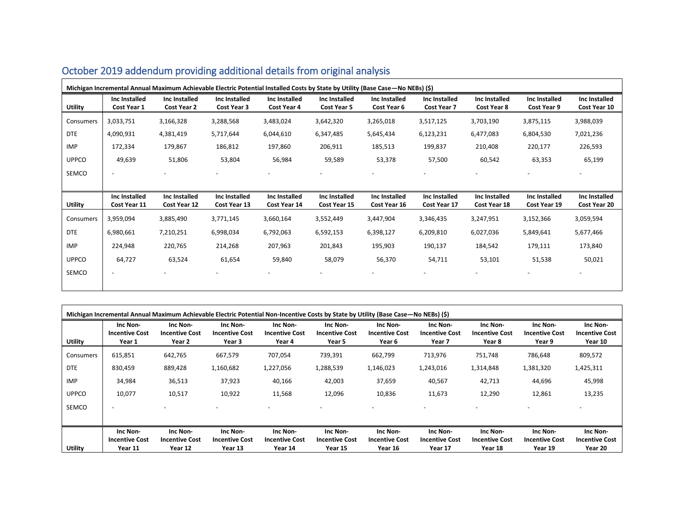| Michigan Incremental Annual Maximum Achievable Electric Potential Installed Costs by State by Utility (Base Case - No NEBs) (\$) |                              |                              |                              |                                     |                              |                              |                              |                              |                              |                               |
|----------------------------------------------------------------------------------------------------------------------------------|------------------------------|------------------------------|------------------------------|-------------------------------------|------------------------------|------------------------------|------------------------------|------------------------------|------------------------------|-------------------------------|
| <b>Utility</b>                                                                                                                   | Inc Installed<br>Cost Year 1 | Inc Installed<br>Cost Year 2 | Inc Installed<br>Cost Year 3 | Inc Installed<br><b>Cost Year 4</b> | Inc Installed<br>Cost Year 5 | Inc Installed<br>Cost Year 6 | Inc Installed<br>Cost Year 7 | Inc Installed<br>Cost Year 8 | Inc Installed<br>Cost Year 9 | Inc Installed<br>Cost Year 10 |
| Consumers                                                                                                                        | 3,033,751                    | 3,166,328                    | 3,288,568                    | 3,483,024                           | 3,642,320                    | 3,265,018                    | 3,517,125                    | 3,703,190                    | 3,875,115                    | 3,988,039                     |
| <b>DTE</b>                                                                                                                       | 4,090,931                    | 4,381,419                    | 5,717,644                    | 6,044,610                           | 6,347,485                    | 5,645,434                    | 6,123,231                    | 6,477,083                    | 6,804,530                    | 7,021,236                     |
| IMP                                                                                                                              | 172,334                      | 179,867                      | 186,812                      | 197,860                             | 206,911                      | 185,513                      | 199,837                      | 210,408                      | 220,177                      | 226,593                       |
| <b>UPPCO</b>                                                                                                                     | 49,639                       | 51,806                       | 53,804                       | 56,984                              | 59,589                       | 53,378                       | 57,500                       | 60,542                       | 63,353                       | 65,199                        |
| SEMCO                                                                                                                            | $\overline{\phantom{a}}$     |                              |                              |                                     |                              |                              |                              |                              |                              |                               |
|                                                                                                                                  |                              |                              |                              |                                     |                              |                              |                              |                              |                              |                               |
|                                                                                                                                  | Inc Installed                | Inc Installed                | Inc Installed                | Inc Installed                       | Inc Installed                | Inc Installed                | Inc Installed                | Inc Installed                | Inc Installed                | Inc Installed                 |
| <b>Utility</b>                                                                                                                   | Cost Year 11                 | Cost Year 12                 | Cost Year 13                 | Cost Year 14                        | Cost Year 15                 | Cost Year 16                 | Cost Year 17                 | Cost Year 18                 | Cost Year 19                 | Cost Year 20                  |
| Consumers                                                                                                                        | 3,959,094                    | 3,885,490                    | 3,771,145                    | 3,660,164                           | 3,552,449                    | 3,447,904                    | 3,346,435                    | 3,247,951                    | 3,152,366                    | 3,059,594                     |
| <b>DTE</b>                                                                                                                       | 6,980,661                    | 7,210,251                    | 6,998,034                    | 6,792,063                           | 6,592,153                    | 6,398,127                    | 6,209,810                    | 6,027,036                    | 5,849,641                    | 5,677,466                     |
| <b>IMP</b>                                                                                                                       | 224,948                      | 220,765                      | 214,268                      | 207,963                             | 201,843                      | 195,903                      | 190,137                      | 184,542                      | 179,111                      | 173,840                       |
| <b>UPPCO</b>                                                                                                                     | 64,727                       | 63,524                       | 61,654                       | 59,840                              | 58,079                       | 56,370                       | 54,711                       | 53,101                       | 51,538                       | 50,021                        |

|  |  | October 2019 addendum providing additional details from original analysis |
|--|--|---------------------------------------------------------------------------|
|--|--|---------------------------------------------------------------------------|

|              |                                             |                                             |                                             | Michigan Incremental Annual Maximum Achievable Electric Potential Non-Incentive Costs by State by Utility (Base Case—No NEBs) (\$) |                                             |                                             |                                             |                                             |                                             |                                              |
|--------------|---------------------------------------------|---------------------------------------------|---------------------------------------------|------------------------------------------------------------------------------------------------------------------------------------|---------------------------------------------|---------------------------------------------|---------------------------------------------|---------------------------------------------|---------------------------------------------|----------------------------------------------|
| Utility      | Inc Non-<br><b>Incentive Cost</b><br>Year 1 | Inc Non-<br><b>Incentive Cost</b><br>Year 2 | Inc Non-<br><b>Incentive Cost</b><br>Year 3 | Inc Non-<br><b>Incentive Cost</b><br>Year 4                                                                                        | Inc Non-<br><b>Incentive Cost</b><br>Year 5 | Inc Non-<br><b>Incentive Cost</b><br>Year 6 | Inc Non-<br><b>Incentive Cost</b><br>Year 7 | Inc Non-<br><b>Incentive Cost</b><br>Year 8 | Inc Non-<br><b>Incentive Cost</b><br>Year 9 | Inc Non-<br><b>Incentive Cost</b><br>Year 10 |
| Consumers    | 615,851                                     | 642,765                                     | 667,579                                     | 707,054                                                                                                                            | 739,391                                     | 662,799                                     | 713,976                                     | 751,748                                     | 786,648                                     | 809,572                                      |
| <b>DTE</b>   | 830,459                                     | 889,428                                     | 1,160,682                                   | 1,227,056                                                                                                                          | 1,288,539                                   | 1,146,023                                   | 1,243,016                                   | 1,314,848                                   | 1,381,320                                   | 1,425,311                                    |
| <b>IMP</b>   | 34,984                                      | 36,513                                      | 37,923                                      | 40,166                                                                                                                             | 42,003                                      | 37,659                                      | 40,567                                      | 42,713                                      | 44,696                                      | 45,998                                       |
| <b>UPPCO</b> | 10,077                                      | 10,517                                      | 10,922                                      | 11,568                                                                                                                             | 12,096                                      | 10,836                                      | 11,673                                      | 12,290                                      | 12,861                                      | 13,235                                       |
| SEMCO        | $\overline{\phantom{0}}$                    |                                             |                                             |                                                                                                                                    |                                             |                                             |                                             |                                             |                                             |                                              |
|              |                                             |                                             |                                             |                                                                                                                                    |                                             |                                             |                                             |                                             |                                             |                                              |
|              | Inc Non-                                    | Inc Non-                                    | Inc Non-                                    | Inc Non-                                                                                                                           | Inc Non-                                    | Inc Non-                                    | Inc Non-                                    | Inc Non-                                    | Inc Non-                                    | Inc Non-                                     |
| Utility      | <b>Incentive Cost</b><br>Year 11            | <b>Incentive Cost</b><br>Year 12            | <b>Incentive Cost</b><br>Year 13            | <b>Incentive Cost</b><br>Year 14                                                                                                   | <b>Incentive Cost</b><br>Year 15            | <b>Incentive Cost</b><br>Year 16            | <b>Incentive Cost</b><br>Year 17            | <b>Incentive Cost</b><br>Year 18            | <b>Incentive Cost</b><br>Year 19            | <b>Incentive Cost</b><br>Year 20             |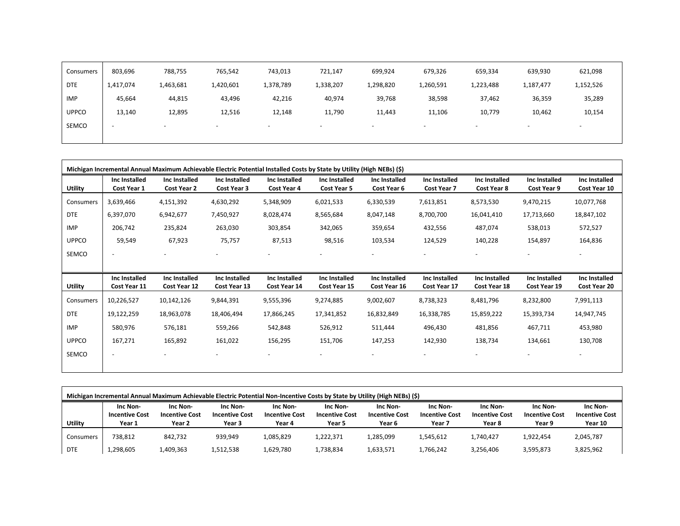| Consumers    | 803,696                  | 788,755                  | 765,542                  | 743,013   | 721,147                  | 699,924   | 679,326                  | 659,334                  | 639,930                  | 621,098                  |
|--------------|--------------------------|--------------------------|--------------------------|-----------|--------------------------|-----------|--------------------------|--------------------------|--------------------------|--------------------------|
| <b>DTE</b>   | 1,417,074                | 1,463,681                | 1,420,601                | 1,378,789 | 1,338,207                | 1,298,820 | 1,260,591                | 1,223,488                | 1,187,477                | 1,152,526                |
| IMP          | 45,664                   | 44,815                   | 43,496                   | 42,216    | 40,974                   | 39,768    | 38,598                   | 37,462                   | 36,359                   | 35,289                   |
| <b>UPPCO</b> | 13,140                   | 12,895                   | 12,516                   | 12,148    | 11,790                   | 11,443    | 11,106                   | 10,779                   | 10,462                   | 10,154                   |
| SEMCO        | $\overline{\phantom{a}}$ | $\overline{\phantom{a}}$ | $\overline{\phantom{0}}$ |           | $\overline{\phantom{0}}$ | <b>.</b>  | $\overline{\phantom{a}}$ | $\overline{\phantom{0}}$ | $\overline{\phantom{a}}$ | $\overline{\phantom{a}}$ |
|              |                          |                          |                          |           |                          |           |                          |                          |                          |                          |

|                |                               |                                     | Michigan Incremental Annual Maximum Achievable Electric Potential Installed Costs by State by Utility (High NEBs) (\$) |                               |                               |                               |                                     |                               |                               |                               |
|----------------|-------------------------------|-------------------------------------|------------------------------------------------------------------------------------------------------------------------|-------------------------------|-------------------------------|-------------------------------|-------------------------------------|-------------------------------|-------------------------------|-------------------------------|
| Utility        | Inc Installed<br>Cost Year 1  | Inc Installed<br><b>Cost Year 2</b> | Inc Installed<br>Cost Year 3                                                                                           | Inc Installed<br>Cost Year 4  | Inc Installed<br>Cost Year 5  | Inc Installed<br>Cost Year 6  | Inc Installed<br><b>Cost Year 7</b> | Inc Installed<br>Cost Year 8  | Inc Installed<br>Cost Year 9  | Inc Installed<br>Cost Year 10 |
| Consumers      | 3,639,466                     | 4,151,392                           | 4,630,292                                                                                                              | 5,348,909                     | 6,021,533                     | 6,330,539                     | 7,613,851                           | 8,573,530                     | 9,470,215                     | 10,077,768                    |
| <b>DTE</b>     | 6,397,070                     | 6,942,677                           | 7,450,927                                                                                                              | 8,028,474                     | 8,565,684                     | 8,047,148                     | 8,700,700                           | 16,041,410                    | 17,713,660                    | 18,847,102                    |
| <b>IMP</b>     | 206,742                       | 235,824                             | 263,030                                                                                                                | 303,854                       | 342,065                       | 359,654                       | 432,556                             | 487,074                       | 538,013                       | 572,527                       |
| <b>UPPCO</b>   | 59,549                        | 67,923                              | 75,757                                                                                                                 | 87,513                        | 98,516                        | 103,534                       | 124,529                             | 140,228                       | 154,897                       | 164,836                       |
| SEMCO          |                               |                                     |                                                                                                                        |                               |                               |                               |                                     |                               |                               | $\overline{\phantom{a}}$      |
|                |                               |                                     |                                                                                                                        |                               |                               |                               |                                     |                               |                               |                               |
| <b>Utility</b> | Inc Installed<br>Cost Year 11 | Inc Installed<br>Cost Year 12       | Inc Installed<br>Cost Year 13                                                                                          | Inc Installed<br>Cost Year 14 | Inc Installed<br>Cost Year 15 | Inc Installed<br>Cost Year 16 | Inc Installed<br>Cost Year 17       | Inc Installed<br>Cost Year 18 | Inc Installed<br>Cost Year 19 | Inc Installed<br>Cost Year 20 |
| Consumers      | 10,226,527                    | 10,142,126                          | 9,844,391                                                                                                              | 9,555,396                     | 9,274,885                     | 9,002,607                     | 8,738,323                           | 8,481,796                     | 8,232,800                     | 7,991,113                     |
| <b>DTE</b>     | 19,122,259                    | 18,963,078                          | 18,406,494                                                                                                             | 17,866,245                    | 17,341,852                    | 16,832,849                    | 16,338,785                          | 15,859,222                    | 15,393,734                    | 14,947,745                    |
| <b>IMP</b>     | 580,976                       | 576,181                             | 559,266                                                                                                                | 542,848                       | 526,912                       | 511,444                       | 496,430                             | 481,856                       | 467,711                       | 453,980                       |
| <b>UPPCO</b>   | 167,271                       | 165,892                             | 161,022                                                                                                                | 156,295                       | 151,706                       | 147,253                       | 142,930                             | 138,734                       | 134,661                       | 130,708                       |
| SEMCO          | $\overline{\phantom{a}}$      |                                     |                                                                                                                        |                               |                               |                               |                                     |                               |                               | $\overline{\phantom{0}}$      |
|                |                               |                                     |                                                                                                                        |                               |                               |                               |                                     |                               |                               |                               |

| Michigan Incremental Annual Maximum Achievable Electric Potential Non-Incentive Costs by State by Utility (High NEBs) (\$) |                                             |                                             |                                             |                                             |                                             |                                             |                                             |                                             |                                             |                                              |
|----------------------------------------------------------------------------------------------------------------------------|---------------------------------------------|---------------------------------------------|---------------------------------------------|---------------------------------------------|---------------------------------------------|---------------------------------------------|---------------------------------------------|---------------------------------------------|---------------------------------------------|----------------------------------------------|
| Utility                                                                                                                    | Inc Non-<br><b>Incentive Cost</b><br>Year 1 | Inc Non-<br><b>Incentive Cost</b><br>Year 2 | Inc Non-<br><b>Incentive Cost</b><br>Year 3 | Inc Non-<br><b>Incentive Cost</b><br>Year 4 | Inc Non-<br><b>Incentive Cost</b><br>Year 5 | Inc Non-<br><b>Incentive Cost</b><br>Year 6 | Inc Non-<br><b>Incentive Cost</b><br>Year 7 | Inc Non-<br><b>Incentive Cost</b><br>Year 8 | Inc Non-<br><b>Incentive Cost</b><br>Year 9 | Inc Non-<br><b>Incentive Cost</b><br>Year 10 |
| Consumers                                                                                                                  | 738.812                                     | 842,732                                     | 939.949                                     | 1,085,829                                   | 1,222,371                                   | 1,285,099                                   | 1,545,612                                   | 1,740,427                                   | 1,922,454                                   | 2,045,787                                    |
| <b>DTE</b>                                                                                                                 | 1,298,605                                   | 1,409,363                                   | 1,512,538                                   | 1,629,780                                   | 1,738,834                                   | 1,633,571                                   | 1,766,242                                   | 3,256,406                                   | 3,595,873                                   | 3,825,962                                    |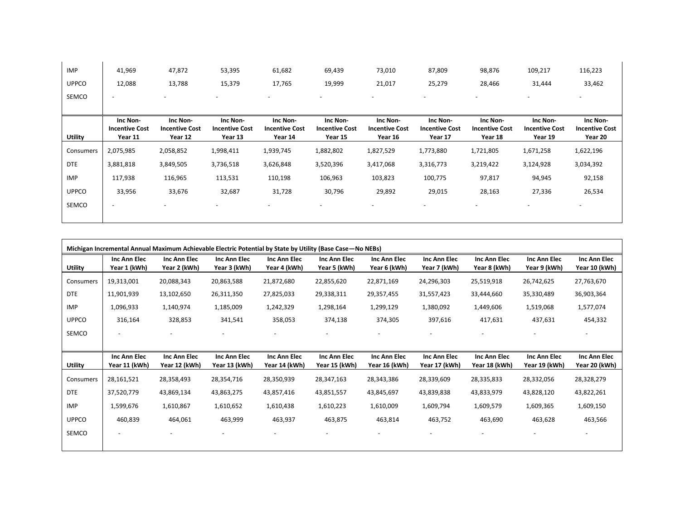| <b>IMP</b>   | 41,969                                       | 47,872                                       | 53,395                                       | 61,682                                       | 69,439                                       | 73,010                                       | 87,809                                       | 98,876                                       | 109,217                                      | 116,223                                      |
|--------------|----------------------------------------------|----------------------------------------------|----------------------------------------------|----------------------------------------------|----------------------------------------------|----------------------------------------------|----------------------------------------------|----------------------------------------------|----------------------------------------------|----------------------------------------------|
| <b>UPPCO</b> | 12,088                                       | 13,788                                       | 15,379                                       | 17,765                                       | 19,999                                       | 21,017                                       | 25,279                                       | 28,466                                       | 31,444                                       | 33,462                                       |
| SEMCO        | $\overline{\phantom{a}}$                     |                                              | $\overline{\phantom{0}}$                     | $\overline{\phantom{a}}$                     |                                              | $\overline{\phantom{a}}$                     |                                              |                                              | $\overline{\phantom{a}}$                     | $\overline{\phantom{a}}$                     |
| Utility      | Inc Non-<br><b>Incentive Cost</b><br>Year 11 | Inc Non-<br><b>Incentive Cost</b><br>Year 12 | Inc Non-<br><b>Incentive Cost</b><br>Year 13 | Inc Non-<br><b>Incentive Cost</b><br>Year 14 | Inc Non-<br><b>Incentive Cost</b><br>Year 15 | Inc Non-<br><b>Incentive Cost</b><br>Year 16 | Inc Non-<br><b>Incentive Cost</b><br>Year 17 | Inc Non-<br><b>Incentive Cost</b><br>Year 18 | Inc Non-<br><b>Incentive Cost</b><br>Year 19 | Inc Non-<br><b>Incentive Cost</b><br>Year 20 |
| Consumers    | 2,075,985                                    | 2,058,852                                    | 1,998,411                                    | 1,939,745                                    | 1,882,802                                    | 1,827,529                                    | 1,773,880                                    | 1,721,805                                    | 1,671,258                                    | 1,622,196                                    |
| <b>DTE</b>   | 3,881,818                                    | 3,849,505                                    | 3,736,518                                    | 3,626,848                                    | 3,520,396                                    | 3,417,068                                    | 3,316,773                                    | 3,219,422                                    | 3,124,928                                    | 3,034,392                                    |
| IMP          | 117,938                                      | 116,965                                      | 113,531                                      | 110,198                                      | 106,963                                      | 103,823                                      | 100,775                                      | 97,817                                       | 94,945                                       | 92,158                                       |
| <b>UPPCO</b> | 33,956                                       | 33,676                                       | 32,687                                       | 31,728                                       | 30,796                                       | 29,892                                       | 29,015                                       | 28,163                                       | 27,336                                       | 26,534                                       |
| SEMCO        | $\overline{\phantom{a}}$                     |                                              | $\overline{\phantom{0}}$                     | $\overline{\phantom{0}}$                     | $\overline{\phantom{m}}$                     | $\overline{\phantom{a}}$                     |                                              |                                              | $\overline{\phantom{0}}$                     | $\overline{\phantom{a}}$                     |

|                |                                     |                               |                               | Michigan Incremental Annual Maximum Achievable Electric Potential by State by Utility (Base Case - No NEBs) |                               |                                     |                               |                               |                               |                               |
|----------------|-------------------------------------|-------------------------------|-------------------------------|-------------------------------------------------------------------------------------------------------------|-------------------------------|-------------------------------------|-------------------------------|-------------------------------|-------------------------------|-------------------------------|
| Utility        | <b>Inc Ann Elec</b><br>Year 1 (kWh) | Inc Ann Elec<br>Year 2 (kWh)  | Inc Ann Elec<br>Year 3 (kWh)  | <b>Inc Ann Elec</b><br>Year 4 (kWh)                                                                         | Inc Ann Elec<br>Year 5 (kWh)  | <b>Inc Ann Elec</b><br>Year 6 (kWh) | Inc Ann Elec<br>Year 7 (kWh)  | Inc Ann Elec<br>Year 8 (kWh)  | Inc Ann Elec<br>Year 9 (kWh)  | Inc Ann Elec<br>Year 10 (kWh) |
| Consumers      | 19,313,001                          | 20,088,343                    | 20,863,588                    | 21,872,680                                                                                                  | 22,855,620                    | 22,871,169                          | 24,296,303                    | 25,519,918                    | 26,742,625                    | 27,763,670                    |
| <b>DTE</b>     | 11,901,939                          | 13,102,650                    | 26,311,350                    | 27,825,033                                                                                                  | 29,338,311                    | 29,357,455                          | 31,557,423                    | 33,444,660                    | 35,330,489                    | 36,903,364                    |
| IMP            | 1,096,933                           | 1,140,974                     | 1,185,009                     | 1,242,329                                                                                                   | 1,298,164                     | 1,299,129                           | 1,380,092                     | 1,449,606                     | 1,519,068                     | 1,577,074                     |
| <b>UPPCO</b>   | 316,164                             | 328,853                       | 341,541                       | 358,053                                                                                                     | 374,138                       | 374,305                             | 397,616                       | 417,631                       | 437,631                       | 454,332                       |
| SEMCO          |                                     |                               |                               | -                                                                                                           |                               |                                     |                               |                               |                               |                               |
|                |                                     |                               |                               |                                                                                                             |                               |                                     |                               |                               |                               |                               |
| <b>Utility</b> | Inc Ann Elec<br>Year 11 (kWh)       | Inc Ann Elec<br>Year 12 (kWh) | Inc Ann Elec<br>Year 13 (kWh) | Inc Ann Elec<br>Year 14 (kWh)                                                                               | Inc Ann Elec<br>Year 15 (kWh) | Inc Ann Elec<br>Year 16 (kWh)       | Inc Ann Elec<br>Year 17 (kWh) | Inc Ann Elec<br>Year 18 (kWh) | Inc Ann Elec<br>Year 19 (kWh) | Inc Ann Elec<br>Year 20 (kWh) |
| Consumers      | 28,161,521                          | 28,358,493                    | 28,354,716                    | 28,350,939                                                                                                  | 28,347,163                    | 28,343,386                          | 28,339,609                    | 28,335,833                    | 28,332,056                    | 28,328,279                    |
| <b>DTE</b>     | 37,520,779                          | 43,869,134                    | 43,863,275                    | 43,857,416                                                                                                  | 43,851,557                    | 43,845,697                          | 43,839,838                    | 43,833,979                    | 43,828,120                    | 43,822,261                    |
| <b>IMP</b>     | 1,599,676                           | 1,610,867                     | 1,610,652                     | 1,610,438                                                                                                   | 1,610,223                     | 1,610,009                           | 1,609,794                     | 1,609,579                     | 1,609,365                     | 1,609,150                     |
| <b>UPPCO</b>   | 460,839                             | 464,061                       | 463,999                       | 463,937                                                                                                     | 463,875                       | 463,814                             | 463,752                       | 463,690                       | 463,628                       | 463,566                       |
| SEMCO          | $\overline{\phantom{a}}$            | $\overline{\phantom{a}}$      | $\overline{\phantom{a}}$      | -                                                                                                           | $\overline{\phantom{a}}$      | $\overline{\phantom{a}}$            | $\overline{\phantom{a}}$      |                               |                               | -                             |
|                |                                     |                               |                               |                                                                                                             |                               |                                     |                               |                               |                               |                               |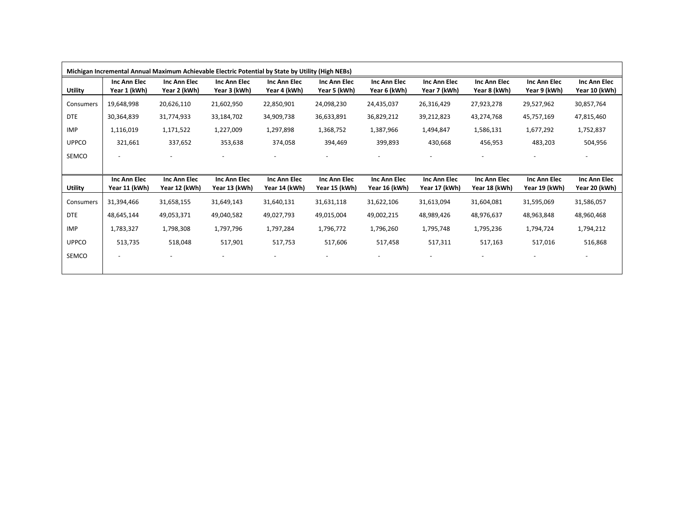|                |                               |                               |                               | Michigan Incremental Annual Maximum Achievable Electric Potential by State by Utility (High NEBs) |                               |                               |                               |                               |                               |                               |
|----------------|-------------------------------|-------------------------------|-------------------------------|---------------------------------------------------------------------------------------------------|-------------------------------|-------------------------------|-------------------------------|-------------------------------|-------------------------------|-------------------------------|
| <b>Utility</b> | Inc Ann Elec<br>Year 1 (kWh)  | Inc Ann Elec<br>Year 2 (kWh)  | Inc Ann Elec<br>Year 3 (kWh)  | Inc Ann Elec<br>Year 4 (kWh)                                                                      | Inc Ann Elec<br>Year 5 (kWh)  | Inc Ann Elec<br>Year 6 (kWh)  | Inc Ann Elec<br>Year 7 (kWh)  | Inc Ann Elec<br>Year 8 (kWh)  | Inc Ann Elec<br>Year 9 (kWh)  | Inc Ann Elec<br>Year 10 (kWh) |
| Consumers      | 19,648,998                    | 20,626,110                    | 21,602,950                    | 22,850,901                                                                                        | 24,098,230                    | 24,435,037                    | 26,316,429                    | 27,923,278                    | 29,527,962                    | 30,857,764                    |
| <b>DTE</b>     | 30,364,839                    | 31,774,933                    | 33,184,702                    | 34,909,738                                                                                        | 36,633,891                    | 36,829,212                    | 39,212,823                    | 43,274,768                    | 45,757,169                    | 47,815,460                    |
| IMP            | 1,116,019                     | 1,171,522                     | 1,227,009                     | 1,297,898                                                                                         | 1,368,752                     | 1,387,966                     | 1,494,847                     | 1,586,131                     | 1,677,292                     | 1,752,837                     |
| <b>UPPCO</b>   | 321,661                       | 337,652                       | 353,638                       | 374,058                                                                                           | 394,469                       | 399,893                       | 430,668                       | 456,953                       | 483,203                       | 504,956                       |
| SEMCO          | $\overline{\phantom{a}}$      | $\overline{\phantom{a}}$      | $\overline{\phantom{a}}$      | $\qquad \qquad \blacksquare$                                                                      |                               |                               | $\overline{\phantom{a}}$      | $\overline{\phantom{a}}$      |                               | $\overline{\phantom{a}}$      |
|                |                               |                               |                               |                                                                                                   |                               |                               |                               |                               |                               |                               |
|                |                               |                               |                               |                                                                                                   |                               |                               |                               |                               |                               |                               |
| <b>Utility</b> | Inc Ann Elec<br>Year 11 (kWh) | Inc Ann Elec<br>Year 12 (kWh) | Inc Ann Elec<br>Year 13 (kWh) | Inc Ann Elec<br>Year 14 (kWh)                                                                     | Inc Ann Elec<br>Year 15 (kWh) | Inc Ann Elec<br>Year 16 (kWh) | Inc Ann Elec<br>Year 17 (kWh) | Inc Ann Elec<br>Year 18 (kWh) | Inc Ann Elec<br>Year 19 (kWh) | Inc Ann Elec<br>Year 20 (kWh) |
| Consumers      | 31,394,466                    | 31,658,155                    | 31,649,143                    | 31,640,131                                                                                        | 31,631,118                    | 31,622,106                    | 31,613,094                    | 31,604,081                    | 31,595,069                    | 31,586,057                    |
| <b>DTE</b>     | 48,645,144                    | 49,053,371                    | 49,040,582                    | 49,027,793                                                                                        | 49,015,004                    | 49,002,215                    | 48,989,426                    | 48,976,637                    | 48,963,848                    | 48,960,468                    |
| <b>IMP</b>     | 1,783,327                     | 1,798,308                     | 1,797,796                     | 1,797,284                                                                                         | 1,796,772                     | 1,796,260                     | 1,795,748                     | 1,795,236                     | 1,794,724                     | 1,794,212                     |
| <b>UPPCO</b>   | 513,735                       | 518,048                       | 517,901                       | 517,753                                                                                           | 517,606                       | 517,458                       | 517,311                       | 517,163                       | 517,016                       | 516,868                       |
| SEMCO          | $\overline{\phantom{a}}$      | $\overline{\phantom{a}}$      | $\overline{\phantom{a}}$      | $\overline{\phantom{a}}$                                                                          | $\overline{\phantom{a}}$      |                               | $\overline{\phantom{a}}$      | $\overline{\phantom{a}}$      |                               |                               |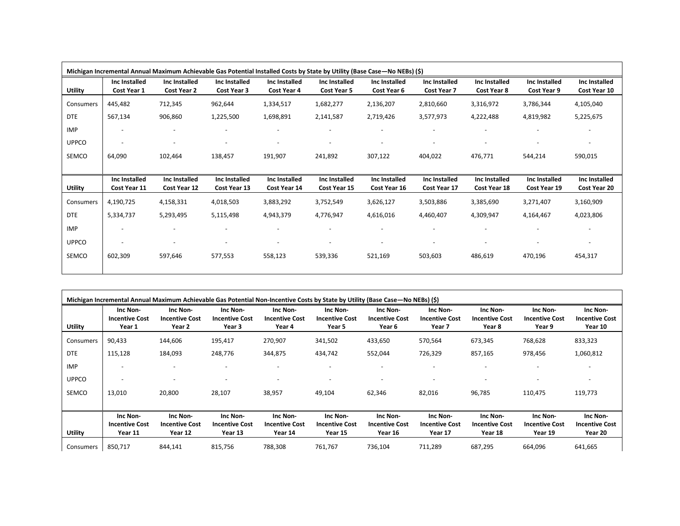|                |                               | Michigan Incremental Annual Maximum Achievable Gas Potential Installed Costs by State by Utility (Base Case-No NEBs) (\$) |                               |                               |                                     |                               |                               |                               |                               |                               |
|----------------|-------------------------------|---------------------------------------------------------------------------------------------------------------------------|-------------------------------|-------------------------------|-------------------------------------|-------------------------------|-------------------------------|-------------------------------|-------------------------------|-------------------------------|
| <b>Utility</b> | Inc Installed<br>Cost Year 1  | Inc Installed<br>Cost Year 2                                                                                              | Inc Installed<br>Cost Year 3  | Inc Installed<br>Cost Year 4  | Inc Installed<br><b>Cost Year 5</b> | Inc Installed<br>Cost Year 6  | Inc Installed<br>Cost Year 7  | Inc Installed<br>Cost Year 8  | Inc Installed<br>Cost Year 9  | Inc Installed<br>Cost Year 10 |
| Consumers      | 445,482                       | 712,345                                                                                                                   | 962,644                       | 1,334,517                     | 1,682,277                           | 2,136,207                     | 2,810,660                     | 3,316,972                     | 3,786,344                     | 4,105,040                     |
| <b>DTE</b>     | 567,134                       | 906,860                                                                                                                   | 1,225,500                     | 1,698,891                     | 2,141,587                           | 2,719,426                     | 3,577,973                     | 4,222,488                     | 4,819,982                     | 5,225,675                     |
| <b>IMP</b>     |                               |                                                                                                                           |                               |                               |                                     |                               |                               |                               |                               | $\overline{\phantom{a}}$      |
| <b>UPPCO</b>   |                               | $\overline{\phantom{a}}$                                                                                                  | $\overline{\phantom{m}}$      |                               |                                     | $\overline{a}$                | ٠                             | $\overline{\phantom{a}}$      |                               | $\overline{\phantom{a}}$      |
| SEMCO          | 64,090                        | 102,464                                                                                                                   | 138,457                       | 191,907                       | 241,892                             | 307,122                       | 404,022                       | 476,771                       | 544,214                       | 590,015                       |
|                |                               |                                                                                                                           |                               |                               |                                     |                               |                               |                               |                               |                               |
|                |                               |                                                                                                                           |                               |                               |                                     |                               |                               |                               |                               |                               |
| <b>Utility</b> | Inc Installed<br>Cost Year 11 | Inc Installed<br>Cost Year 12                                                                                             | Inc Installed<br>Cost Year 13 | Inc Installed<br>Cost Year 14 | Inc Installed<br>Cost Year 15       | Inc Installed<br>Cost Year 16 | Inc Installed<br>Cost Year 17 | Inc Installed<br>Cost Year 18 | Inc Installed<br>Cost Year 19 | Inc Installed<br>Cost Year 20 |
| Consumers      | 4,190,725                     | 4,158,331                                                                                                                 | 4,018,503                     | 3,883,292                     | 3,752,549                           | 3,626,127                     | 3,503,886                     | 3,385,690                     | 3,271,407                     | 3,160,909                     |
| <b>DTE</b>     | 5,334,737                     | 5,293,495                                                                                                                 | 5,115,498                     | 4,943,379                     | 4,776,947                           | 4,616,016                     | 4,460,407                     | 4,309,947                     | 4,164,467                     | 4,023,806                     |
| <b>IMP</b>     |                               |                                                                                                                           |                               |                               |                                     |                               |                               |                               |                               |                               |
| <b>UPPCO</b>   |                               |                                                                                                                           |                               |                               |                                     |                               |                               |                               |                               |                               |
| SEMCO          | 602,309                       | 597,646                                                                                                                   | 577,553                       | 558,123                       | 539,336                             | 521,169                       | 503,603                       | 486,619                       | 470,196                       | 454,317                       |

|                |                                              |                                              |                                              | Michigan Incremental Annual Maximum Achievable Gas Potential Non-Incentive Costs by State by Utility (Base Case—No NEBs) (\$) |                                              |                                              |                                              |                                              |                                              |                                              |
|----------------|----------------------------------------------|----------------------------------------------|----------------------------------------------|-------------------------------------------------------------------------------------------------------------------------------|----------------------------------------------|----------------------------------------------|----------------------------------------------|----------------------------------------------|----------------------------------------------|----------------------------------------------|
| <b>Utility</b> | Inc Non-<br><b>Incentive Cost</b><br>Year 1  | Inc Non-<br><b>Incentive Cost</b><br>Year 2  | Inc Non-<br><b>Incentive Cost</b><br>Year 3  | Inc Non-<br><b>Incentive Cost</b><br>Year 4                                                                                   | Inc Non-<br><b>Incentive Cost</b><br>Year 5  | Inc Non-<br><b>Incentive Cost</b><br>Year 6  | Inc Non-<br><b>Incentive Cost</b><br>Year 7  | Inc Non-<br><b>Incentive Cost</b><br>Year 8  | Inc Non-<br><b>Incentive Cost</b><br>Year 9  | Inc Non-<br><b>Incentive Cost</b><br>Year 10 |
| Consumers      | 90,433                                       | 144,606                                      | 195,417                                      | 270,907                                                                                                                       | 341,502                                      | 433,650                                      | 570,564                                      | 673,345                                      | 768,628                                      | 833,323                                      |
| <b>DTE</b>     | 115,128                                      | 184,093                                      | 248,776                                      | 344,875                                                                                                                       | 434,742                                      | 552,044                                      | 726,329                                      | 857,165                                      | 978,456                                      | 1,060,812                                    |
| <b>IMP</b>     |                                              |                                              |                                              |                                                                                                                               |                                              |                                              |                                              |                                              |                                              |                                              |
| <b>UPPCO</b>   |                                              |                                              |                                              |                                                                                                                               |                                              |                                              |                                              |                                              |                                              |                                              |
| SEMCO          | 13,010                                       | 20,800                                       | 28,107                                       | 38,957                                                                                                                        | 49,104                                       | 62,346                                       | 82,016                                       | 96,785                                       | 110,475                                      | 119,773                                      |
| <b>Utility</b> | Inc Non-<br><b>Incentive Cost</b><br>Year 11 | Inc Non-<br><b>Incentive Cost</b><br>Year 12 | Inc Non-<br><b>Incentive Cost</b><br>Year 13 | Inc Non-<br><b>Incentive Cost</b><br>Year 14                                                                                  | Inc Non-<br><b>Incentive Cost</b><br>Year 15 | Inc Non-<br><b>Incentive Cost</b><br>Year 16 | Inc Non-<br><b>Incentive Cost</b><br>Year 17 | Inc Non-<br><b>Incentive Cost</b><br>Year 18 | Inc Non-<br><b>Incentive Cost</b><br>Year 19 | Inc Non-<br><b>Incentive Cost</b><br>Year 20 |
| Consumers      | 850,717                                      | 844,141                                      | 815,756                                      | 788,308                                                                                                                       | 761,767                                      | 736,104                                      | 711,289                                      | 687,295                                      | 664,096                                      | 641,665                                      |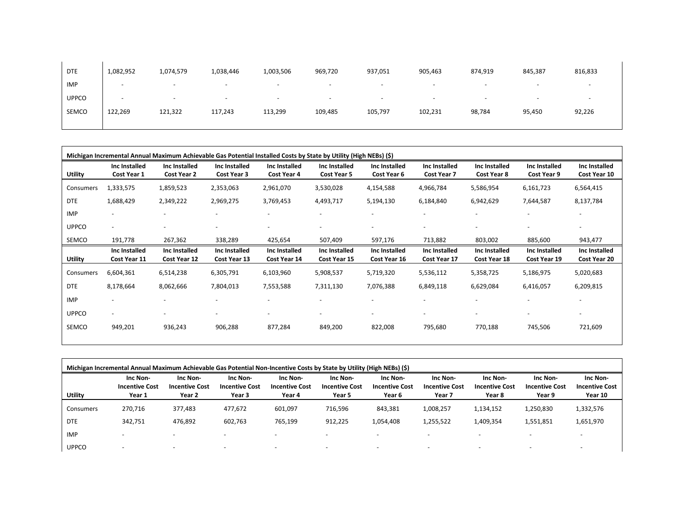| <b>DTE</b>   | 1,082,952                | 1,074,579 | 1,038,446                | 1,003,506                | 969,720                  | 937,051 | 905,463                  | 874,919                  | 845,387                  | 816,833 |
|--------------|--------------------------|-----------|--------------------------|--------------------------|--------------------------|---------|--------------------------|--------------------------|--------------------------|---------|
| <b>IMP</b>   | $\overline{\phantom{0}}$ |           | $\overline{\phantom{a}}$ | $\overline{\phantom{0}}$ | $\overline{\phantom{0}}$ |         | $\overline{\phantom{0}}$ | $\overline{\phantom{a}}$ |                          |         |
| <b>UPPCO</b> | $\overline{\phantom{0}}$ |           | $\overline{\phantom{a}}$ | $\overline{\phantom{0}}$ | $\overline{\phantom{a}}$ |         | $\overline{\phantom{0}}$ | $\overline{\phantom{a}}$ | $\overline{\phantom{a}}$ |         |
| SEMCO        | 122,269                  | 121,322   | 117,243                  | 113,299                  | 109,485                  | 105,797 | 102,231                  | 98,784                   | 95,450                   | 92,226  |
|              |                          |           |                          |                          |                          |         |                          |                          |                          |         |

| Michigan Incremental Annual Maximum Achievable Gas Potential Installed Costs by State by Utility (High NEBs) (\$) |                               |                               |                               |                               |                               |                               |                                     |                               |                               |                               |
|-------------------------------------------------------------------------------------------------------------------|-------------------------------|-------------------------------|-------------------------------|-------------------------------|-------------------------------|-------------------------------|-------------------------------------|-------------------------------|-------------------------------|-------------------------------|
| Utility                                                                                                           | Inc Installed<br>Cost Year 1  | Inc Installed<br>Cost Year 2  | Inc Installed<br>Cost Year 3  | Inc Installed<br>Cost Year 4  | Inc Installed<br>Cost Year 5  | Inc Installed<br>Cost Year 6  | Inc Installed<br><b>Cost Year 7</b> | Inc Installed<br>Cost Year 8  | Inc Installed<br>Cost Year 9  | Inc Installed<br>Cost Year 10 |
| Consumers                                                                                                         | 1,333,575                     | 1,859,523                     | 2,353,063                     | 2,961,070                     | 3,530,028                     | 4,154,588                     | 4,966,784                           | 5,586,954                     | 6,161,723                     | 6,564,415                     |
| <b>DTE</b>                                                                                                        | 1,688,429                     | 2,349,222                     | 2,969,275                     | 3,769,453                     | 4,493,717                     | 5,194,130                     | 6,184,840                           | 6,942,629                     | 7,644,587                     | 8,137,784                     |
| <b>IMP</b>                                                                                                        |                               |                               |                               |                               |                               |                               |                                     |                               |                               |                               |
| <b>UPPCO</b>                                                                                                      | $\overline{\phantom{0}}$      |                               | ٠                             | $\overline{\phantom{a}}$      | $\overline{\phantom{a}}$      | $\overline{\phantom{a}}$      | $\overline{\phantom{a}}$            | $\overline{\phantom{a}}$      | $\overline{\phantom{a}}$      | $\overline{\phantom{a}}$      |
| SEMCO                                                                                                             | 191,778                       | 267,362                       | 338,289                       | 425,654                       | 507,409                       | 597,176                       | 713,882                             | 803,002                       | 885,600                       | 943,477                       |
| <b>Utility</b>                                                                                                    | Inc Installed<br>Cost Year 11 | Inc Installed<br>Cost Year 12 | Inc Installed<br>Cost Year 13 | Inc Installed<br>Cost Year 14 | Inc Installed<br>Cost Year 15 | Inc Installed<br>Cost Year 16 | Inc Installed<br>Cost Year 17       | Inc Installed<br>Cost Year 18 | Inc Installed<br>Cost Year 19 | Inc Installed<br>Cost Year 20 |
| Consumers                                                                                                         | 6,604,361                     | 6,514,238                     | 6,305,791                     | 6,103,960                     | 5,908,537                     | 5,719,320                     | 5,536,112                           | 5,358,725                     | 5,186,975                     | 5,020,683                     |
| <b>DTE</b>                                                                                                        | 8,178,664                     | 8,062,666                     | 7,804,013                     | 7,553,588                     | 7,311,130                     | 7,076,388                     | 6,849,118                           | 6,629,084                     | 6,416,057                     | 6,209,815                     |
| <b>IMP</b>                                                                                                        | $\overline{\phantom{a}}$      |                               |                               | $\overline{\phantom{a}}$      |                               | $\overline{\phantom{a}}$      | $\overline{\phantom{a}}$            | $\overline{\phantom{a}}$      |                               | $\overline{\phantom{a}}$      |
| <b>UPPCO</b>                                                                                                      | $\overline{\phantom{a}}$      |                               | -                             | $\overline{\phantom{a}}$      |                               | $\overline{\phantom{a}}$      | $\qquad \qquad \blacksquare$        | $\overline{\phantom{a}}$      |                               | $\overline{\phantom{0}}$      |
| SEMCO                                                                                                             | 949,201                       | 936,243                       | 906,288                       | 877,284                       | 849,200                       | 822,008                       | 795,680                             | 770,188                       | 745,506                       | 721,609                       |

| Michigan Incremental Annual Maximum Achievable Gas Potential Non-Incentive Costs by State by Utility (High NEBs) (\$) |                                             |                                             |                                             |                                             |                                             |                                             |                                             |                                             |                                             |                                              |
|-----------------------------------------------------------------------------------------------------------------------|---------------------------------------------|---------------------------------------------|---------------------------------------------|---------------------------------------------|---------------------------------------------|---------------------------------------------|---------------------------------------------|---------------------------------------------|---------------------------------------------|----------------------------------------------|
| Utility                                                                                                               | Inc Non-<br><b>Incentive Cost</b><br>Year 1 | Inc Non-<br><b>Incentive Cost</b><br>Year 2 | Inc Non-<br><b>Incentive Cost</b><br>Year 3 | Inc Non-<br><b>Incentive Cost</b><br>Year 4 | Inc Non-<br><b>Incentive Cost</b><br>Year 5 | Inc Non-<br><b>Incentive Cost</b><br>Year 6 | Inc Non-<br><b>Incentive Cost</b><br>Year 7 | Inc Non-<br><b>Incentive Cost</b><br>Year 8 | Inc Non-<br><b>Incentive Cost</b><br>Year 9 | Inc Non-<br><b>Incentive Cost</b><br>Year 10 |
| Consumers                                                                                                             | 270.716                                     | 377,483                                     | 477,672                                     | 601.097                                     | 716,596                                     | 843,381                                     | 1,008,257                                   | 1,134,152                                   | 1,250,830                                   | 1,332,576                                    |
| <b>DTE</b>                                                                                                            | 342,751                                     | 476,892                                     | 602,763                                     | 765,199                                     | 912,225                                     | 1,054,408                                   | 1,255,522                                   | 1,409,354                                   | 1,551,851                                   | 1,651,970                                    |
| <b>IMP</b>                                                                                                            |                                             |                                             |                                             |                                             |                                             |                                             |                                             |                                             |                                             |                                              |
| <b>UPPCO</b>                                                                                                          |                                             |                                             |                                             |                                             |                                             |                                             |                                             |                                             |                                             |                                              |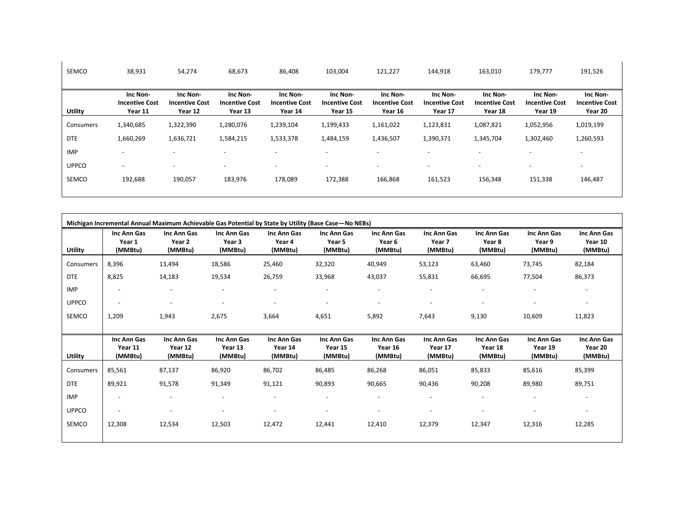| SEMCO        | 38,931                                       | 54,274                                       | 68,673                                       | 86,408                                       | 103,004                                      | 121,227                                      | 144,918                                      | 163,010                                      | 179,777                                      | 191,526                                      |
|--------------|----------------------------------------------|----------------------------------------------|----------------------------------------------|----------------------------------------------|----------------------------------------------|----------------------------------------------|----------------------------------------------|----------------------------------------------|----------------------------------------------|----------------------------------------------|
| Utility      | Inc Non-<br><b>Incentive Cost</b><br>Year 11 | Inc Non-<br><b>Incentive Cost</b><br>Year 12 | Inc Non-<br><b>Incentive Cost</b><br>Year 13 | Inc Non-<br><b>Incentive Cost</b><br>Year 14 | Inc Non-<br><b>Incentive Cost</b><br>Year 15 | Inc Non-<br><b>Incentive Cost</b><br>Year 16 | Inc Non-<br><b>Incentive Cost</b><br>Year 17 | Inc Non-<br><b>Incentive Cost</b><br>Year 18 | Inc Non-<br><b>Incentive Cost</b><br>Year 19 | Inc Non-<br><b>Incentive Cost</b><br>Year 20 |
| Consumers    | 1,340,685                                    | 1,322,390                                    | 1,280,076                                    | 1,239,104                                    | 1,199,433                                    | 1,161,022                                    | 1,123,831                                    | 1,087,821                                    | 1,052,956                                    | 1,019,199                                    |
| <b>DTE</b>   | 1,660,269                                    | 1,636,721                                    | 1,584,215                                    | 1,533,378                                    | 1,484,159                                    | 1,436,507                                    | 1,390,371                                    | 1,345,704                                    | 1,302,460                                    | 1,260,593                                    |
| <b>IMP</b>   | $\overline{\phantom{a}}$                     |                                              | $\overline{\phantom{a}}$                     |                                              |                                              | ٠                                            | $\overline{\phantom{a}}$                     |                                              |                                              | $\overline{\phantom{a}}$                     |
| <b>UPPCO</b> | $\overline{\phantom{a}}$                     | $\overline{\phantom{a}}$                     | $\overline{\phantom{a}}$                     | $\overline{\phantom{a}}$                     | $\overline{\phantom{a}}$                     | $\overline{\phantom{a}}$                     | $\overline{\phantom{a}}$                     | $\overline{\phantom{a}}$                     | $\overline{\phantom{a}}$                     | $\overline{\phantom{a}}$                     |
| <b>SEMCO</b> | 192,688                                      | 190,057                                      | 183,976                                      | 178,089                                      | 172,388                                      | 166,868                                      | 161,523                                      | 156,348                                      | 151,338                                      | 146,487                                      |

| Michigan Incremental Annual Maximum Achievable Gas Potential by State by Utility (Base Case - No NEBs) |                                   |                                   |                                             |                                   |                                   |                                             |                                   |                                   |                                   |                                   |
|--------------------------------------------------------------------------------------------------------|-----------------------------------|-----------------------------------|---------------------------------------------|-----------------------------------|-----------------------------------|---------------------------------------------|-----------------------------------|-----------------------------------|-----------------------------------|-----------------------------------|
| Utility                                                                                                | Inc Ann Gas<br>Year 1<br>(MMBtu)  | Inc Ann Gas<br>Year 2<br>(MMBtu)  | Inc Ann Gas<br>Year <sub>3</sub><br>(MMBtu) | Inc Ann Gas<br>Year 4<br>(MMBtu)  | Inc Ann Gas<br>Year 5<br>(MMBtu)  | Inc Ann Gas<br>Year <sub>6</sub><br>(MMBtu) | Inc Ann Gas<br>Year 7<br>(MMBtu)  | Inc Ann Gas<br>Year 8<br>(MMBtu)  | Inc Ann Gas<br>Year 9<br>(MMBtu)  | Inc Ann Gas<br>Year 10<br>(MMBtu) |
| Consumers                                                                                              | 8,396                             | 13,494                            | 18,586                                      | 25,460                            | 32,320                            | 40,949                                      | 53,123                            | 63,460                            | 73,745                            | 82,184                            |
| <b>DTE</b>                                                                                             | 8,825                             | 14,183                            | 19,534                                      | 26,759                            | 33,968                            | 43,037                                      | 55,831                            | 66,695                            | 77,504                            | 86,373                            |
| <b>IMP</b>                                                                                             | $\overline{\phantom{a}}$          |                                   |                                             | $\overline{\phantom{a}}$          |                                   |                                             |                                   |                                   |                                   |                                   |
| <b>UPPCO</b>                                                                                           | $\overline{\phantom{a}}$          | $\overline{\phantom{a}}$          | $\overline{\phantom{a}}$                    | $\overline{\phantom{a}}$          | ۰                                 |                                             |                                   | $\overline{\phantom{a}}$          |                                   |                                   |
| SEMCO                                                                                                  | 1,209                             | 1,943                             | 2,675                                       | 3,664                             | 4,651                             | 5,892                                       | 7,643                             | 9,130                             | 10,609                            | 11,823                            |
|                                                                                                        |                                   |                                   |                                             |                                   |                                   |                                             |                                   |                                   |                                   |                                   |
| Utility                                                                                                | Inc Ann Gas<br>Year 11<br>(MMBtu) | Inc Ann Gas<br>Year 12<br>(MMBtu) | Inc Ann Gas<br>Year 13<br>(MMBtu)           | Inc Ann Gas<br>Year 14<br>(MMBtu) | Inc Ann Gas<br>Year 15<br>(MMBtu) | Inc Ann Gas<br>Year 16<br>(MMBtu)           | Inc Ann Gas<br>Year 17<br>(MMBtu) | Inc Ann Gas<br>Year 18<br>(MMBtu) | Inc Ann Gas<br>Year 19<br>(MMBtu) | Inc Ann Gas<br>Year 20<br>(MMBtu) |
| Consumers                                                                                              | 85,561                            | 87,137                            | 86,920                                      | 86,702                            | 86,485                            | 86,268                                      | 86,051                            | 85,833                            | 85,616                            | 85,399                            |
| <b>DTE</b>                                                                                             | 89,921                            | 91,578                            | 91,349                                      | 91,121                            | 90,893                            | 90,665                                      | 90,436                            | 90,208                            | 89,980                            | 89,751                            |
| <b>IMP</b>                                                                                             |                                   |                                   | $\overline{\phantom{a}}$                    |                                   | $\overline{\phantom{a}}$          |                                             |                                   | ٠                                 |                                   |                                   |
| <b>UPPCO</b>                                                                                           | $\blacksquare$                    |                                   | $\overline{\phantom{a}}$                    | $\overline{\phantom{a}}$          |                                   |                                             |                                   | $\qquad \qquad \blacksquare$      |                                   |                                   |
| <b>SEMCO</b>                                                                                           | 12,308                            | 12,534                            | 12,503                                      | 12,472                            | 12,441                            | 12,410                                      | 12,379                            | 12,347                            | 12,316                            | 12,285                            |